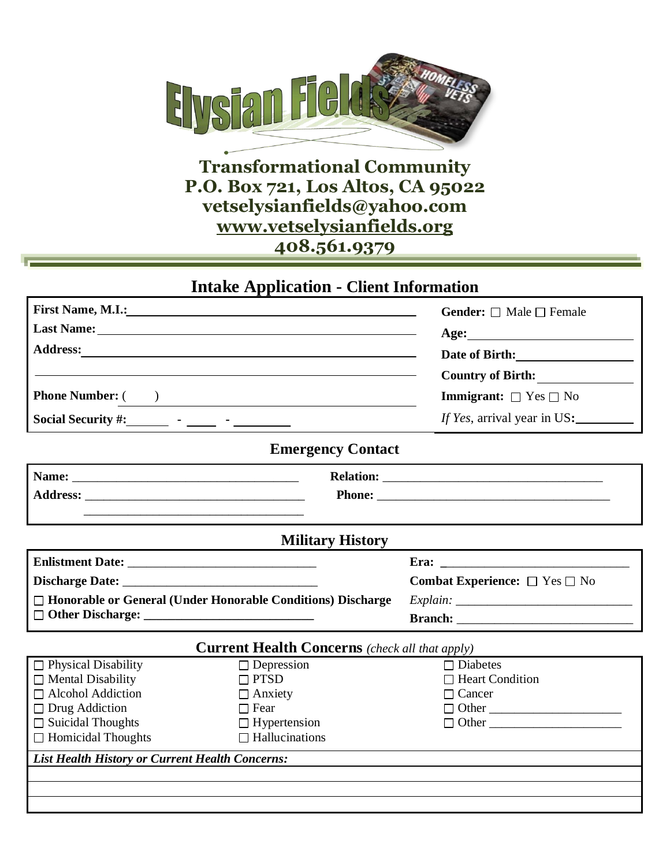

## **Transformational Community P.O. Box 721, Los Altos, CA 95022 vetselysianfields@yahoo.com [www.vetselysianfields.org](http://www.vetselysianfields.org/) 408.561.9379**

## **Intake Application - Client Information**

| <b>First Name, M.I.:</b>                                                                                                                                                                                                                                                                                                                                                                    | <u> 1989 - Johann Stoff, deutscher Stoffen und der Stoffen und der Stoffen und der Stoffen und der Stoffen und der</u> | <b>Gender:</b> $\Box$ Male $\Box$ Female       |
|---------------------------------------------------------------------------------------------------------------------------------------------------------------------------------------------------------------------------------------------------------------------------------------------------------------------------------------------------------------------------------------------|------------------------------------------------------------------------------------------------------------------------|------------------------------------------------|
|                                                                                                                                                                                                                                                                                                                                                                                             |                                                                                                                        |                                                |
| Address: <u>Address:</u>                                                                                                                                                                                                                                                                                                                                                                    |                                                                                                                        | Date of Birth:                                 |
|                                                                                                                                                                                                                                                                                                                                                                                             |                                                                                                                        | <b>Country of Birth:</b>                       |
| <b>Phone Number:</b> ( )                                                                                                                                                                                                                                                                                                                                                                    | <u> 1989 - Johann John Stone, meil in der Stone aus der Stone aus der Stone aus der Stone aus der Stone aus der S</u>  | <b>Immigrant:</b> $\Box$ Yes $\Box$ No         |
| Social Security #: $\qquad \qquad$ $\qquad \qquad$ $\qquad \qquad$ $\qquad \qquad$ $\qquad \qquad$ $\qquad \qquad$ $\qquad \qquad$ $\qquad \qquad$ $\qquad \qquad$ $\qquad \qquad$ $\qquad \qquad$ $\qquad \qquad$ $\qquad \qquad$ $\qquad \qquad$ $\qquad \qquad$ $\qquad \qquad$ $\qquad \qquad$ $\qquad \qquad$ $\qquad \qquad$ $\qquad \qquad$ $\qquad \qquad$ $\qquad \qquad$ $\qquad$ |                                                                                                                        | <i>If Yes</i> , arrival year in US:            |
|                                                                                                                                                                                                                                                                                                                                                                                             | <b>Emergency Contact</b>                                                                                               |                                                |
|                                                                                                                                                                                                                                                                                                                                                                                             |                                                                                                                        |                                                |
|                                                                                                                                                                                                                                                                                                                                                                                             |                                                                                                                        |                                                |
| <u> 1989 - Johann Stoff, amerikansk politiker (d. 1989)</u>                                                                                                                                                                                                                                                                                                                                 |                                                                                                                        |                                                |
|                                                                                                                                                                                                                                                                                                                                                                                             | <b>Military History</b>                                                                                                |                                                |
|                                                                                                                                                                                                                                                                                                                                                                                             |                                                                                                                        |                                                |
|                                                                                                                                                                                                                                                                                                                                                                                             |                                                                                                                        | <b>Combat Experience:</b> $\Box$ Yes $\Box$ No |
| □ Honorable or General (Under Honorable Conditions) Discharge                                                                                                                                                                                                                                                                                                                               |                                                                                                                        |                                                |
|                                                                                                                                                                                                                                                                                                                                                                                             |                                                                                                                        |                                                |
|                                                                                                                                                                                                                                                                                                                                                                                             | <b>Current Health Concerns</b> (check all that apply)                                                                  |                                                |
| $\Box$ Physical Disability                                                                                                                                                                                                                                                                                                                                                                  | $\Box$ Depression                                                                                                      | $\Box$ Diabetes                                |
| $\Box$ Mental Disability                                                                                                                                                                                                                                                                                                                                                                    | $\Box$ PTSD                                                                                                            | □ Heart Condition                              |
| $\Box$ Alcohol Addiction                                                                                                                                                                                                                                                                                                                                                                    | $\Box$ Anxiety                                                                                                         | $\Box$ Cancer                                  |
| $\Box$ Drug Addiction                                                                                                                                                                                                                                                                                                                                                                       | $\Box$ Fear                                                                                                            | $\Box$ Other                                   |
| $\Box$ Suicidal Thoughts                                                                                                                                                                                                                                                                                                                                                                    | $\Box$ Hypertension                                                                                                    | $\Box$ Other                                   |
| $\Box$ Homicidal Thoughts                                                                                                                                                                                                                                                                                                                                                                   | $\Box$ Hallucinations                                                                                                  |                                                |
| <b>List Health History or Current Health Concerns:</b>                                                                                                                                                                                                                                                                                                                                      |                                                                                                                        |                                                |
|                                                                                                                                                                                                                                                                                                                                                                                             |                                                                                                                        |                                                |
|                                                                                                                                                                                                                                                                                                                                                                                             |                                                                                                                        |                                                |
|                                                                                                                                                                                                                                                                                                                                                                                             |                                                                                                                        |                                                |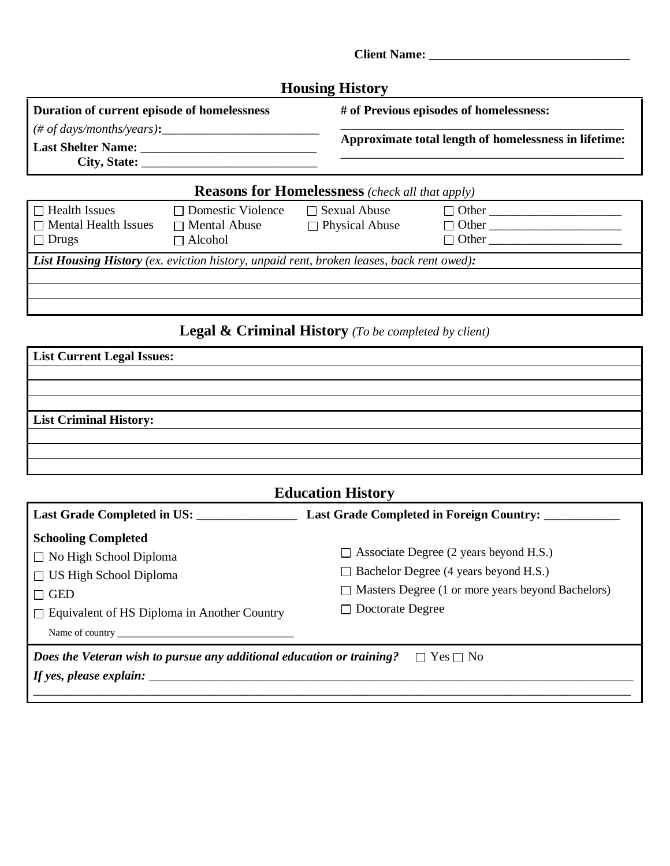| <b>Housing History</b>                                |
|-------------------------------------------------------|
| # of Previous episodes of homelessness:               |
|                                                       |
| Approximate total length of homelessness in lifetime: |
|                                                       |
|                                                       |

**Client Name: \_\_\_\_\_\_\_\_\_\_\_\_\_\_\_\_\_\_\_\_\_\_\_\_\_\_\_\_\_\_\_\_**

| $\Box$ Health Issues<br>$\Box$ Mental Health Issues<br>$\Box$ Drugs                             | $\Box$ Domestic Violence<br>$\Box$ Mental Abuse<br>$\Box$ Alcohol | $\Box$ Sexual Abuse<br>$\Box$ Physical Abuse | $\Box$ Other<br>$\Box$ Other<br>$\Box$ Other |
|-------------------------------------------------------------------------------------------------|-------------------------------------------------------------------|----------------------------------------------|----------------------------------------------|
| <b>List Housing History</b> (ex. eviction history, unpaid rent, broken leases, back rent owed): |                                                                   |                                              |                                              |
|                                                                                                 |                                                                   |                                              |                                              |

## **Legal & Criminal History** *(To be completed by client)*

| <b>List Current Legal Issues:</b> |  |
|-----------------------------------|--|
|                                   |  |
|                                   |  |
|                                   |  |
| <b>List Criminal History:</b>     |  |
|                                   |  |
|                                   |  |
|                                   |  |

| <b>Education History</b>                                                                                                                                                                                    |                                                                                                                                                           |  |
|-------------------------------------------------------------------------------------------------------------------------------------------------------------------------------------------------------------|-----------------------------------------------------------------------------------------------------------------------------------------------------------|--|
| Last Grade Completed in US:                                                                                                                                                                                 | Last Grade Completed in Foreign Country:                                                                                                                  |  |
| <b>Schooling Completed</b><br>$\Box$ No High School Diploma<br>$\Box$ US High School Diploma<br>$\Box$ GED                                                                                                  | $\Box$ Associate Degree (2 years beyond H.S.)<br>$\Box$ Bachelor Degree (4 years beyond H.S.)<br>$\Box$ Masters Degree (1 or more years beyond Bachelors) |  |
| $\Box$ Equivalent of HS Diploma in Another Country<br><i>Does the Veteran wish to pursue any additional education or training?</i> $\Box$ Yes $\Box$ No<br>If yes, please explain: $\overline{\phantom{a}}$ | $\Box$ Doctorate Degree                                                                                                                                   |  |
|                                                                                                                                                                                                             |                                                                                                                                                           |  |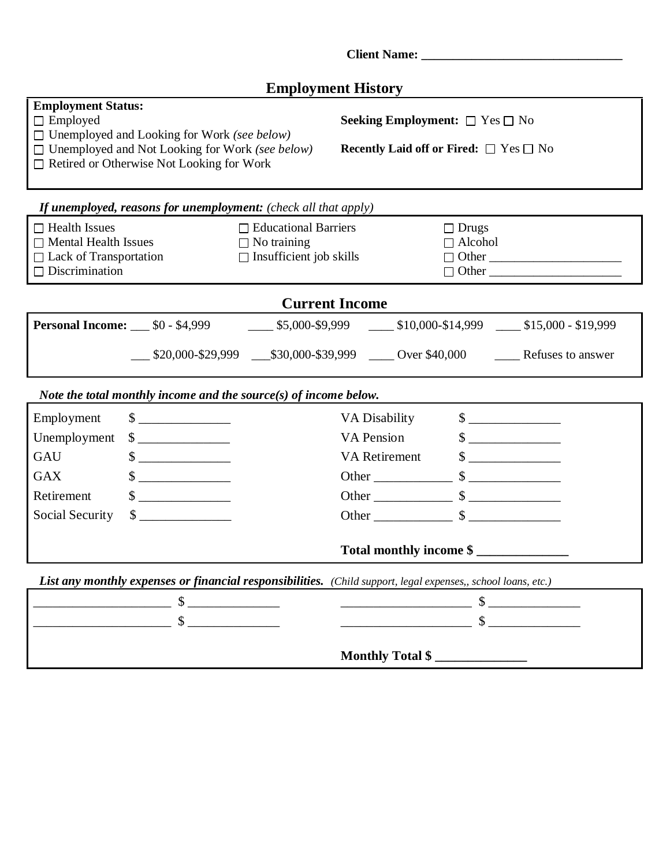|                                                                                                                                                                                                                  |                                                                                     | <b>Employment History</b>                                                                                                                                                                                                                                                                                                                                             |                                |                                       |
|------------------------------------------------------------------------------------------------------------------------------------------------------------------------------------------------------------------|-------------------------------------------------------------------------------------|-----------------------------------------------------------------------------------------------------------------------------------------------------------------------------------------------------------------------------------------------------------------------------------------------------------------------------------------------------------------------|--------------------------------|---------------------------------------|
| <b>Employment Status:</b><br>$\Box$ Employed<br>$\Box$ Unemployed and Looking for Work (see below)<br>$\Box$ Unemployed and Not Looking for Work (see below)<br>$\Box$ Retired or Otherwise Not Looking for Work |                                                                                     | <b>Seeking Employment:</b> $\Box$ Yes $\Box$ No<br><b>Recently Laid off or Fired:</b> $\Box$ Yes $\Box$ No                                                                                                                                                                                                                                                            |                                |                                       |
| If unemployed, reasons for unemployment: (check all that apply)                                                                                                                                                  |                                                                                     |                                                                                                                                                                                                                                                                                                                                                                       |                                |                                       |
| $\Box$ Health Issues<br>$\Box$ Mental Health Issues<br>□ Lack of Transportation<br>$\Box$ Discrimination                                                                                                         | $\Box$ Educational Barriers<br>$\Box$ No training<br>$\Box$ Insufficient job skills |                                                                                                                                                                                                                                                                                                                                                                       | $\Box$ Drugs<br>$\Box$ Alcohol | $\Box$ Other                          |
|                                                                                                                                                                                                                  |                                                                                     | <b>Current Income</b>                                                                                                                                                                                                                                                                                                                                                 |                                |                                       |
| <b>Personal Income:</b> 50 - \$4,999 10,000-\$9,999 10,000-\$14,999 10,000 - \$19,999                                                                                                                            |                                                                                     |                                                                                                                                                                                                                                                                                                                                                                       |                                |                                       |
|                                                                                                                                                                                                                  |                                                                                     |                                                                                                                                                                                                                                                                                                                                                                       |                                |                                       |
| Note the total monthly income and the source $(s)$ of income below.                                                                                                                                              |                                                                                     |                                                                                                                                                                                                                                                                                                                                                                       |                                |                                       |
| $\frac{\text{S}}{\text{S}}$<br>Employment                                                                                                                                                                        |                                                                                     | VA Disability                                                                                                                                                                                                                                                                                                                                                         |                                | $\sim$                                |
| Unemployment<br>$\frac{\text{S}}{\text{S}}$<br>GAU                                                                                                                                                               |                                                                                     | <b>VA</b> Pension<br>VA Retirement                                                                                                                                                                                                                                                                                                                                    |                                | $\frac{\text{S}}{\text{S}}$<br>$\sim$ |
| $\frac{\text{S}}{\text{S}}$<br>$\frac{\text{S}}{\text{S}}$<br><b>GAX</b>                                                                                                                                         |                                                                                     |                                                                                                                                                                                                                                                                                                                                                                       |                                |                                       |
| Retirement<br>$\sim$                                                                                                                                                                                             |                                                                                     | Other $\frac{\sqrt{3}}{2}$ $\frac{\sqrt{3}}{2}$ $\frac{\sqrt{3}}{2}$ $\frac{\sqrt{3}}{2}$ $\frac{\sqrt{3}}{2}$ $\frac{\sqrt{3}}{2}$ $\frac{\sqrt{3}}{2}$ $\frac{\sqrt{3}}{2}$ $\frac{\sqrt{3}}{2}$ $\frac{\sqrt{3}}{2}$ $\frac{\sqrt{3}}{2}$ $\frac{\sqrt{3}}{2}$ $\frac{\sqrt{3}}{2}$ $\frac{\sqrt{3}}{2}$ $\frac{\sqrt{3}}{2}$ $\frac{\sqrt{3}}{2}$ $\frac{\sqrt{3$ |                                |                                       |
| Social Security<br>$\sim$                                                                                                                                                                                        |                                                                                     | Other $\frac{\sqrt{3}}{2}$ $\frac{\sqrt{3}}{2}$ $\frac{\sqrt{3}}{2}$ $\frac{\sqrt{3}}{2}$ $\frac{\sqrt{3}}{2}$ $\frac{\sqrt{3}}{2}$ $\frac{\sqrt{3}}{2}$ $\frac{\sqrt{3}}{2}$ $\frac{\sqrt{3}}{2}$ $\frac{\sqrt{3}}{2}$ $\frac{\sqrt{3}}{2}$ $\frac{\sqrt{3}}{2}$ $\frac{\sqrt{3}}{2}$ $\frac{\sqrt{3}}{2}$ $\frac{\sqrt{3}}{2}$ $\frac{\sqrt{3}}{2}$ $\frac{\sqrt{3$ |                                |                                       |
|                                                                                                                                                                                                                  |                                                                                     | Total monthly income \$                                                                                                                                                                                                                                                                                                                                               |                                |                                       |
| List any monthly expenses or financial responsibilities. (Child support, legal expenses,, school loans, etc.)                                                                                                    |                                                                                     |                                                                                                                                                                                                                                                                                                                                                                       |                                |                                       |
|                                                                                                                                                                                                                  |                                                                                     | $\begin{tabular}{c} 1.1 \end{tabular}$                                                                                                                                                                                                                                                                                                                                |                                |                                       |
| $\mathbb{S}$                                                                                                                                                                                                     |                                                                                     |                                                                                                                                                                                                                                                                                                                                                                       |                                | $\mathbb{S}$                          |
|                                                                                                                                                                                                                  |                                                                                     |                                                                                                                                                                                                                                                                                                                                                                       |                                |                                       |

**Monthly Total \$ \_\_\_\_\_\_\_\_\_\_\_\_\_\_**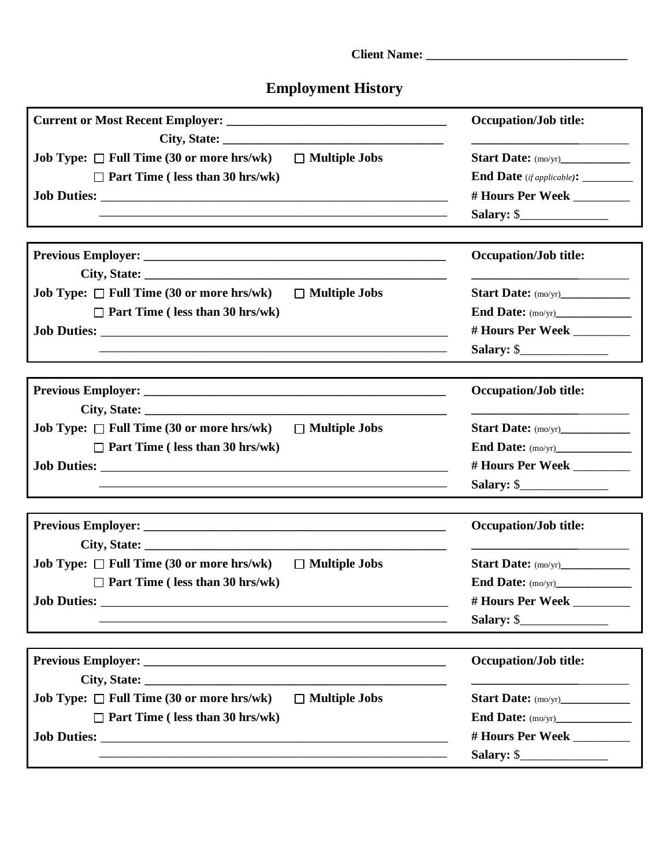# **Employment History**

|                                                                                                                       | <b>Occupation/Job title:</b>                                                    |  |  |
|-----------------------------------------------------------------------------------------------------------------------|---------------------------------------------------------------------------------|--|--|
| <b>Job Type:</b> $\Box$ Full Time (30 or more hrs/wk) $\Box$ Multiple Jobs                                            |                                                                                 |  |  |
| $\Box$ Part Time ( less than 30 hrs/wk)                                                                               | End Date (if applicable): ________                                              |  |  |
|                                                                                                                       | # Hours Per Week _________                                                      |  |  |
| <u> 1989 - Johann Barn, amerikan berkema dalam berkema dalam berkema dalam berkema dalam berkema dalam berkema da</u> | Salary: $\frac{1}{2}$                                                           |  |  |
|                                                                                                                       | <b>Occupation/Job title:</b>                                                    |  |  |
|                                                                                                                       |                                                                                 |  |  |
| Job Type: $\Box$ Full Time (30 or more hrs/wk) $\Box$ Multiple Jobs                                                   | Start Date: (mo/yr)______________                                               |  |  |
| $\Box$ Part Time (less than 30 hrs/wk)                                                                                |                                                                                 |  |  |
|                                                                                                                       | # Hours Per Week ________                                                       |  |  |
| <u> 1989 - Johann Barn, amerikan berkema dalam berkema dalam berkema dalam berkema dalam berkema dalam berkema da</u> | Salary: $\frac{1}{2}$                                                           |  |  |
|                                                                                                                       | <b>Occupation/Job title:</b>                                                    |  |  |
|                                                                                                                       |                                                                                 |  |  |
| <b>Job Type:</b> $\Box$ Full Time (30 or more hrs/wk) $\Box$ Multiple Jobs                                            | Start Date: (mo/yr)______________                                               |  |  |
| $\Box$ Part Time ( less than 30 hrs/wk)                                                                               |                                                                                 |  |  |
|                                                                                                                       | # Hours Per Week ________                                                       |  |  |
|                                                                                                                       |                                                                                 |  |  |
|                                                                                                                       | <b>Occupation/Job title:</b>                                                    |  |  |
|                                                                                                                       |                                                                                 |  |  |
| <b>Job Type:</b> $\Box$ Full Time (30 or more hrs/wk) $\Box$ Multiple Jobs                                            | Start Date: (mo/yr)____________                                                 |  |  |
| $\Box$ Part Time ( less than 30 hrs/wk)                                                                               |                                                                                 |  |  |
|                                                                                                                       | # Hours Per Week _________                                                      |  |  |
|                                                                                                                       | Salary: $\frac{1}{2}$                                                           |  |  |
|                                                                                                                       | <b>Occupation/Job title:</b>                                                    |  |  |
|                                                                                                                       | the contract of the contract of the contract of the contract of the contract of |  |  |
| $\Box$ Multiple Jobs<br><b>Job Type:</b> $\Box$ Full Time (30 or more hrs/wk)                                         | Start Date: (mo/yr)_____________                                                |  |  |
| $\Box$ Part Time (less than 30 hrs/wk)                                                                                |                                                                                 |  |  |
|                                                                                                                       | # Hours Per Week _________                                                      |  |  |
|                                                                                                                       | Salary: $\frac{1}{2}$                                                           |  |  |